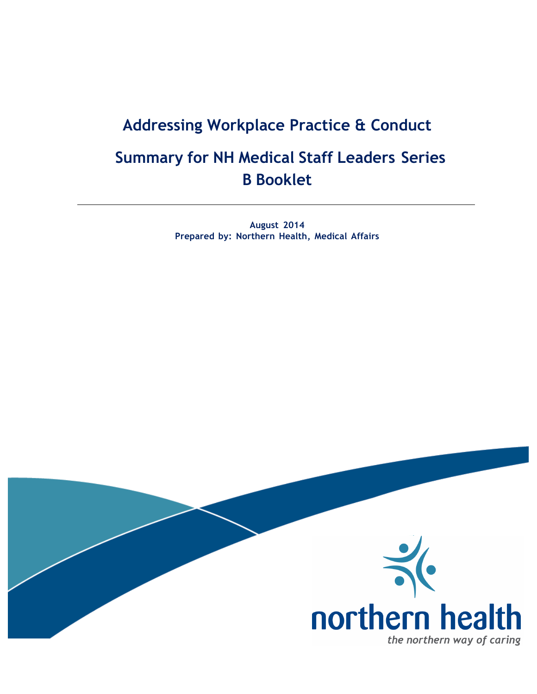# **Addressing Workplace Practice & Conduct Summary for NH Medical Staff Leaders Series B Booklet**

**August 2014 Prepared by: Northern Health, Medical Affairs**

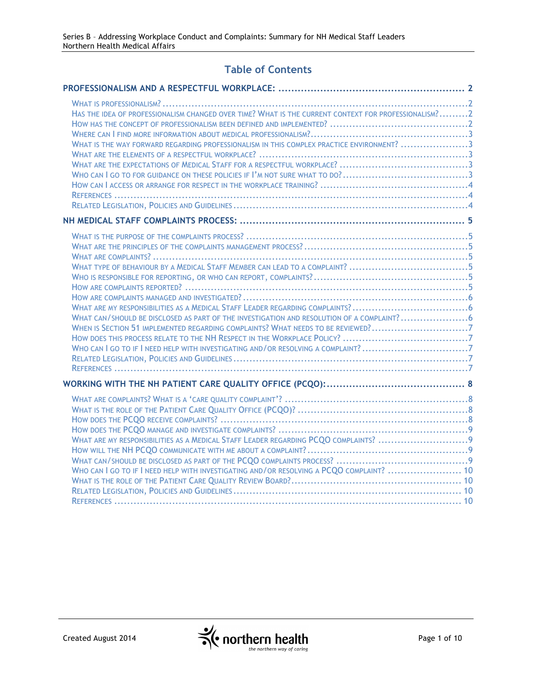# **Table of Contents**

| HAS THE IDEA OF PROFESSIONALISM CHANGED OVER TIME? WHAT IS THE CURRENT CONTEXT FOR PROFESSIONALISM?2<br>WHAT IS THE WAY FORWARD REGARDING PROFESSIONALISM IN THIS COMPLEX PRACTICE ENVIRONMENT? 3                                                                 |  |
|-------------------------------------------------------------------------------------------------------------------------------------------------------------------------------------------------------------------------------------------------------------------|--|
|                                                                                                                                                                                                                                                                   |  |
| WHAT CAN/SHOULD BE DISCLOSED AS PART OF THE INVESTIGATION AND RESOLUTION OF A COMPLAINT?6<br>WHEN IS SECTION 51 IMPLEMENTED REGARDING COMPLAINTS? WHAT NEEDS TO BE REVIEWED?7<br>WHO CAN I GO TO IF I NEED HELP WITH INVESTIGATING AND/OR RESOLVING A COMPLAINT?7 |  |
|                                                                                                                                                                                                                                                                   |  |
| WHO CAN I GO TO IF I NEED HELP WITH INVESTIGATING AND/OR RESOLVING A PCQO COMPLAINT?  10                                                                                                                                                                          |  |

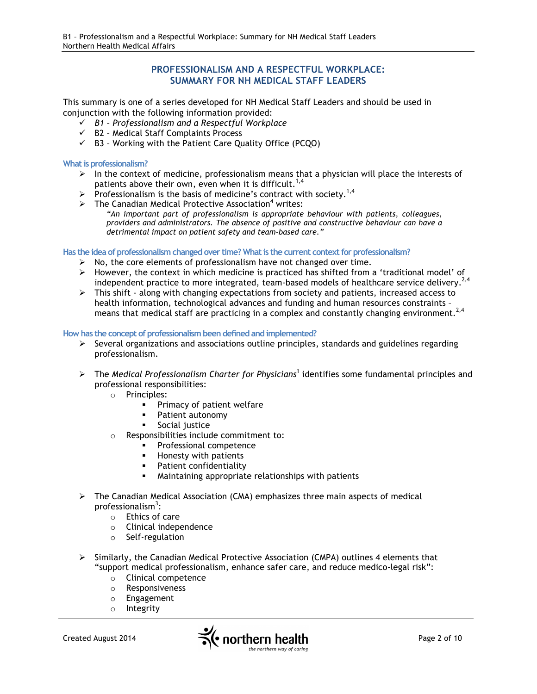# **PROFESSIONALISM AND A RESPECTFUL WORKPLACE: SUMMARY FOR NH MEDICAL STAFF LEADERS**

This summary is one of a series developed for NH Medical Staff Leaders and should be used in conjunction with the following information provided:

- ü *B1 – Professionalism and a Respectful Workplace*
- $\checkmark$  B2 Medical Staff Complaints Process
- $\checkmark$  B3 Working with the Patient Care Quality Office (PCQO)

**What is professionalism?**

- $\triangleright$  In the context of medicine, professionalism means that a physician will place the interests of patients above their own, even when it is difficult.<sup>1,4</sup>
- $\triangleright$  Professionalism is the basis of medicine's contract with society.<sup>1,4</sup>
- $\triangleright$  The Canadian Medical Protective Association<sup>4</sup> writes:
	- *"An important part of professionalism is appropriate behaviour with patients, colleagues, providers and administrators. The absence of positive and constructive behaviour can have a detrimental impact on patient safety and team-based care."*

**Has the idea of professionalism changed over time? What is the current context for professionalism?**

- $\triangleright$  No, the core elements of professionalism have not changed over time.
- $\triangleright$  However, the context in which medicine is practiced has shifted from a 'traditional model' of independent practice to more integrated, team-based models of healthcare service delivery.<sup>2,4</sup>
- Ø This shift along with changing expectations from society and patients, increased access to health information, technological advances and funding and human resources constraints – means that medical staff are practicing in a complex and constantly changing environment.<sup>2,4</sup>

#### **How has the concept of professionalism been defined and implemented?**

- $\triangleright$  Several organizations and associations outline principles, standards and guidelines regarding professionalism.
- Ø The *Medical Professionalism Charter for Physicians*<sup>1</sup> identifies some fundamental principles and professional responsibilities:
	- o Principles:
		- **•** Primacy of patient welfare
		- § Patient autonomy
		- § Social justice
	- o Responsibilities include commitment to:
		- § Professional competence
		- **■** Honesty with patients
		- **•** Patient confidentiality
		- § Maintaining appropriate relationships with patients
- $\triangleright$  The Canadian Medical Association (CMA) emphasizes three main aspects of medical professionalism<sup>3</sup>:
	- o Ethics of care
	- o Clinical independence
	- o Self-regulation
- $\triangleright$  Similarly, the Canadian Medical Protective Association (CMPA) outlines 4 elements that "support medical professionalism, enhance safer care, and reduce medico-legal risk":
	- o Clinical competence
	- o Responsiveness
	- o Engagement
	- o Integrity

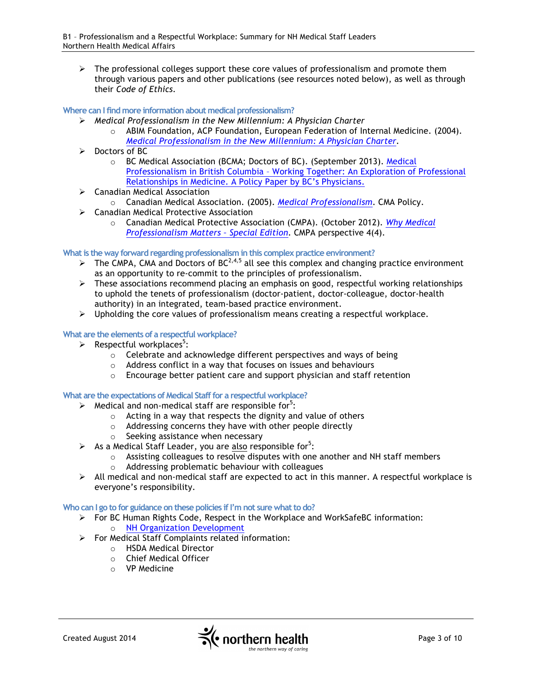$\triangleright$  The professional colleges support these core values of professionalism and promote them through various papers and other publications (see resources noted below), as well as through their *Code of Ethics*.

# **Where can I find more information about medical professionalism?**

- Ø *Medical Professionalism in the New Millennium: A Physician Charter*
	- $\circ$  ABIM Foundation, ACP Foundation, European Federation of Internal Medicine. (2004). *Medical Professionalism in the New Millennium: A Physician Charter.*
- $\triangleright$  Doctors of BC
	- o BC Medical Association (BCMA; Doctors of BC). (September 2013). Medical Professionalism in British Columbia – Working Together: An Exploration of Professional Relationships in Medicine. A Policy Paper by BC's Physicians.
- $\triangleright$  Canadian Medical Association
	- o Canadian Medical Association. (2005). *Medical Professionalism*. CMA Policy.
- $\triangleright$  Canadian Medical Protective Association
	- o Canadian Medical Protective Association (CMPA). (October 2012). *Why Medical Professionalism Matters – Special Edition*. CMPA perspective 4(4).

# **What is the way forward regarding professionalism in this complex practice environment?**

- $\triangleright$  The CMPA, CMA and Doctors of BC<sup>2,4,5</sup> all see this complex and changing practice environment as an opportunity to re-commit to the principles of professionalism.
- Ø These associations recommend placing an emphasis on good, respectful working relationships to uphold the tenets of professionalism (doctor-patient, doctor-colleague, doctor-health authority) in an integrated, team-based practice environment.
- $\triangleright$  Upholding the core values of professionalism means creating a respectful workplace.

# **What are the elements of a respectful workplace?**

- $\triangleright$  Respectful workplaces<sup>5</sup>:
	- o Celebrate and acknowledge different perspectives and ways of being
	- o Address conflict in a way that focuses on issues and behaviours
	- o Encourage better patient care and support physician and staff retention

# **What are the expectations of Medical Staff for a respectful workplace?**

- $\triangleright$  Medical and non-medical staff are responsible for<sup>5</sup>:
	- o Acting in a way that respects the dignity and value of others
	- o Addressing concerns they have with other people directly
	- o Seeking assistance when necessary
- $\triangleright$  As a Medical Staff Leader, you are also responsible for<sup>5</sup>:
	- $\circ$  Assisting colleagues to resolve disputes with one another and NH staff members
	- o Addressing problematic behaviour with colleagues
- $\triangleright$  All medical and non-medical staff are expected to act in this manner. A respectful workplace is everyone's responsibility.

#### **Who can I go to for guidance on these policies if I'm not sure what to do?**

- $\triangleright$  For BC Human Rights Code, Respect in the Workplace and WorkSafeBC information:
	- o NH Organization Development
- Ø For Medical Staff Complaints related information:
	- o HSDA Medical Director
	- o Chief Medical Officer
	- o VP Medicine

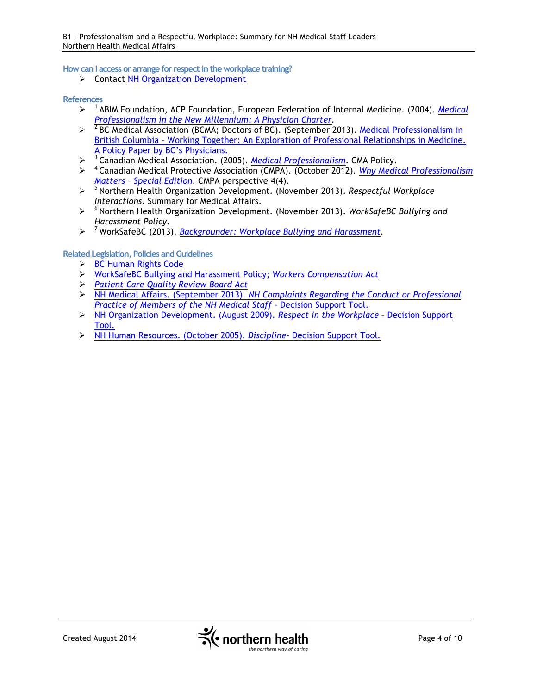**How can I access or arrange for respect in the workplace training?**

Ø Contact NH Organization Development

#### **References**

- Ø 1 ABIM Foundation, ACP Foundation, European Federation of Internal Medicine. (2004). *Medical Professionalism in the New Millennium: A Physician Charter.*
- $\geqslant$  <sup>2</sup> BC Medical Association (BCMA; Doctors of BC). (September 2013). Medical Professionalism in British Columbia – Working Together: An Exploration of Professional Relationships in Medicine. A Policy Paper by BC's Physicians.
- Ø 3 Canadian Medical Association. (2005). *Medical Professionalism*. CMA Policy.
- Ø 4 Canadian Medical Protective Association (CMPA). (October 2012). *Why Medical Professionalism Matters – Special Edition*. CMPA perspective 4(4).
- Ø 5 Northern Health Organization Development. (November 2013). *Respectful Workplace Interactions*. Summary for Medical Affairs.
- Ø 6 Northern Health Organization Development. (November 2013). *WorkSafeBC Bullying and Harassment Policy*.
- Ø 7 WorkSafeBC (2013). *Backgrounder: Workplace Bullying and Harassment.*

# **Related Legislation, Policies and Guidelines**

- **► BC Human Rights Code**
- Ø WorkSafeBC Bullying and Harassment Policy; *Workers Compensation Act*
- Ø *Patient Care Quality Review Board Act*
- Ø NH Medical Affairs. (September 2013). *NH Complaints Regarding the Conduct or Professional Practice of Members of the NH Medical Staff* - Decision Support Tool.
- Ø NH Organization Development. (August 2009). *Respect in the Workplace* Decision Support Tool.
- Ø NH Human Resources. (October 2005). *Discipline* Decision Support Tool.

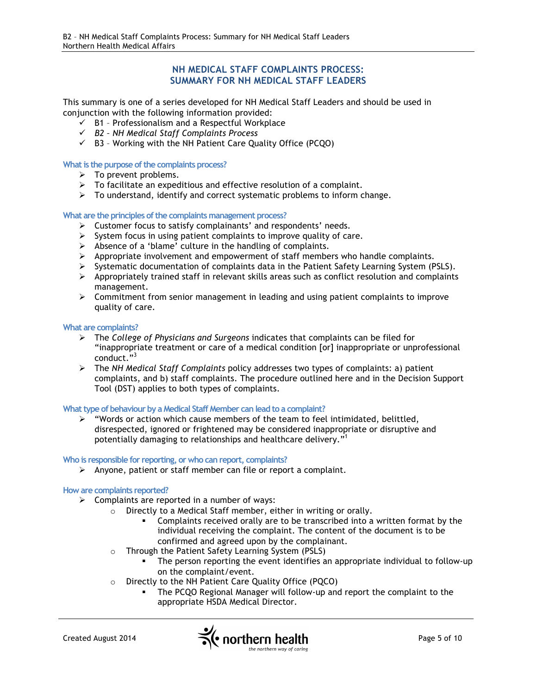# **NH MEDICAL STAFF COMPLAINTS PROCESS: SUMMARY FOR NH MEDICAL STAFF LEADERS**

This summary is one of a series developed for NH Medical Staff Leaders and should be used in conjunction with the following information provided:

- $\checkmark$  B1 Professionalism and a Respectful Workplace
- ü *B2 – NH Medical Staff Complaints Process*
- $\checkmark$  B3 Working with the NH Patient Care Quality Office (PCQO)

#### **What is the purpose of the complaints process?**

- $\triangleright$  To prevent problems.
- $\triangleright$  To facilitate an expeditious and effective resolution of a complaint.
- $\triangleright$  To understand, identify and correct systematic problems to inform change.

#### **What are the principles of the complaints management process?**

- $\triangleright$  Customer focus to satisfy complainants' and respondents' needs.
- $\triangleright$  System focus in using patient complaints to improve quality of care.
- $\triangleright$  Absence of a 'blame' culture in the handling of complaints.
- $\triangleright$  Appropriate involvement and empowerment of staff members who handle complaints.
- $\triangleright$  Systematic documentation of complaints data in the Patient Safety Learning System (PSLS).
- $\triangleright$  Appropriately trained staff in relevant skills areas such as conflict resolution and complaints management.
- $\triangleright$  Commitment from senior management in leading and using patient complaints to improve quality of care.

#### **What are complaints?**

- Ø The *College of Physicians and Surgeons* indicates that complaints can be filed for "inappropriate treatment or care of a medical condition [or] inappropriate or unprofessional conduct."<sup>3</sup>
- Ø The *NH Medical Staff Complaints* policy addresses two types of complaints: a) patient complaints, and b) staff complaints. The procedure outlined here and in the Decision Support Tool (DST) applies to both types of complaints.

# **What type of behaviour by a Medical Staff Member can lead to a complaint?**

 $\triangleright$  "Words or action which cause members of the team to feel intimidated, belittled, disrespected, ignored or frightened may be considered inappropriate or disruptive and potentially damaging to relationships and healthcare delivery."<sup>1</sup>

# **Who is responsible for reporting, or who can report, complaints?**

 $\triangleright$  Anyone, patient or staff member can file or report a complaint.

#### **How are complaints reported?**

- $\triangleright$  Complaints are reported in a number of ways:
	- o Directly to a Medical Staff member, either in writing or orally.
		- § Complaints received orally are to be transcribed into a written format by the individual receiving the complaint. The content of the document is to be confirmed and agreed upon by the complainant.
	- o Through the Patient Safety Learning System (PSLS)
		- The person reporting the event identifies an appropriate individual to follow-up on the complaint/event.
	- o Directly to the NH Patient Care Quality Office (PQCO)
		- § The PCQO Regional Manager will follow-up and report the complaint to the appropriate HSDA Medical Director.

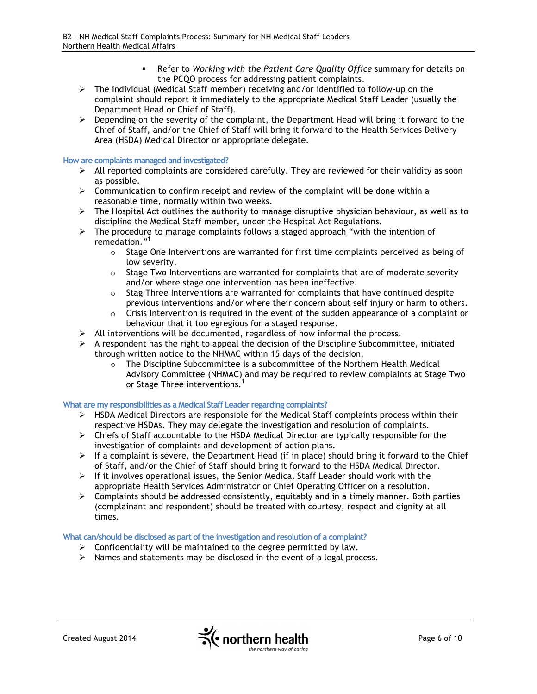- § Refer to *Working with the Patient Care Quality Office* summary for details on the PCQO process for addressing patient complaints.
- $\triangleright$  The individual (Medical Staff member) receiving and/or identified to follow-up on the complaint should report it immediately to the appropriate Medical Staff Leader (usually the Department Head or Chief of Staff).
- $\triangleright$  Depending on the severity of the complaint, the Department Head will bring it forward to the Chief of Staff, and/or the Chief of Staff will bring it forward to the Health Services Delivery Area (HSDA) Medical Director or appropriate delegate.

#### **How are complaints managed and investigated?**

- $\triangleright$  All reported complaints are considered carefully. They are reviewed for their validity as soon as possible.
- $\triangleright$  Communication to confirm receipt and review of the complaint will be done within a reasonable time, normally within two weeks.
- $\triangleright$  The Hospital Act outlines the authority to manage disruptive physician behaviour, as well as to discipline the Medical Staff member, under the Hospital Act Regulations.
- $\triangleright$  The procedure to manage complaints follows a staged approach "with the intention of remedation."<sup>1</sup>
	- $\circ$  Stage One Interventions are warranted for first time complaints perceived as being of low severity.
	- $\circ$  Stage Two Interventions are warranted for complaints that are of moderate severity and/or where stage one intervention has been ineffective.
	- $\circ$  Stag Three Interventions are warranted for complaints that have continued despite previous interventions and/or where their concern about self injury or harm to others.
	- o Crisis Intervention is required in the event of the sudden appearance of a complaint or behaviour that it too egregious for a staged response.
- $\triangleright$  All interventions will be documented, regardless of how informal the process.
- $\triangleright$  A respondent has the right to appeal the decision of the Discipline Subcommittee, initiated through written notice to the NHMAC within 15 days of the decision.
	- o The Discipline Subcommittee is a subcommittee of the Northern Health Medical Advisory Committee (NHMAC) and may be required to review complaints at Stage Two or Stage Three interventions.<sup>1</sup>

#### **What are my responsibilities as a Medical Staff Leader regarding complaints?**

- Ø HSDA Medical Directors are responsible for the Medical Staff complaints process within their respective HSDAs. They may delegate the investigation and resolution of complaints.
- $\triangleright$  Chiefs of Staff accountable to the HSDA Medical Director are typically responsible for the investigation of complaints and development of action plans.
- $\triangleright$  If a complaint is severe, the Department Head (if in place) should bring it forward to the Chief of Staff, and/or the Chief of Staff should bring it forward to the HSDA Medical Director.
- $\triangleright$  If it involves operational issues, the Senior Medical Staff Leader should work with the appropriate Health Services Administrator or Chief Operating Officer on a resolution.
- $\triangleright$  Complaints should be addressed consistently, equitably and in a timely manner. Both parties (complainant and respondent) should be treated with courtesy, respect and dignity at all times.

#### **What can/should be disclosed as part of the investigation and resolution of a complaint?**

- $\triangleright$  Confidentiality will be maintained to the degree permitted by law.
- $\triangleright$  Names and statements may be disclosed in the event of a legal process.

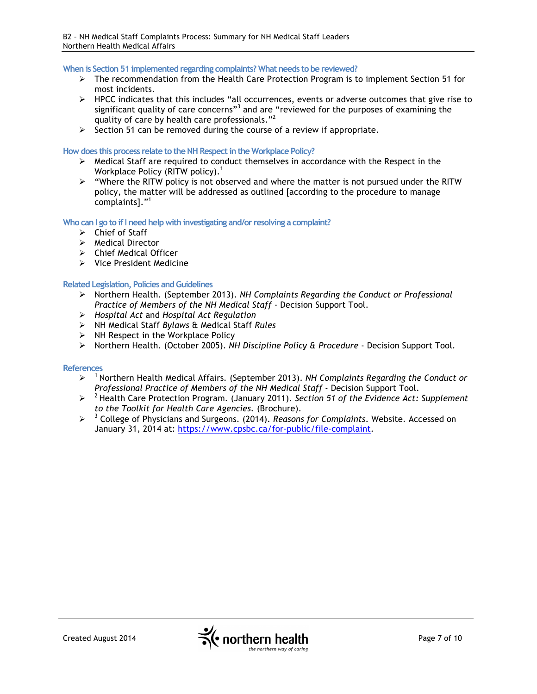**When is Section 51 implemented regarding complaints? What needs to be reviewed?**

- $\triangleright$  The recommendation from the Health Care Protection Program is to implement Section 51 for most incidents.
- $\triangleright$  HPCC indicates that this includes "all occurrences, events or adverse outcomes that give rise to significant quality of care concerns<sup>33</sup> and are "reviewed for the purposes of examining the quality of care by health care professionals."<sup>2</sup>
- $\geq$  Section 51 can be removed during the course of a review if appropriate.

#### **How does this process relate to the NH Respect in the Workplace Policy?**

- $\triangleright$  Medical Staff are required to conduct themselves in accordance with the Respect in the Workplace Policy (RITW policy). $<sup>1</sup>$ </sup>
- Ø "Where the RITW policy is not observed and where the matter is not pursued under the RITW policy, the matter will be addressed as outlined [according to the procedure to manage complaints]."<sup>1</sup>

# **Who can I go to if I need help with investigating and/or resolving a complaint?**

- $\triangleright$  Chief of Staff
- Ø Medical Director
- $\triangleright$  Chief Medical Officer
- $\triangleright$  Vice President Medicine

# **Related Legislation, Policies and Guidelines**

- Ø Northern Health. (September 2013). *NH Complaints Regarding the Conduct or Professional Practice of Members of the NH Medical Staff* - Decision Support Tool.
- Ø *Hospital Act* and *Hospital Act Regulation*
- Ø NH Medical Staff *Bylaws* & Medical Staff *Rules*
- $\triangleright$  NH Respect in the Workplace Policy
- Ø Northern Health. (October 2005). *NH Discipline Policy & Procedure* Decision Support Tool.

#### **References**

- Ø 1 Northern Health Medical Affairs*.* (September 2013). *NH Complaints Regarding the Conduct or Professional Practice of Members of the NH Medical Staff* - Decision Support Tool.
- $\triangleright$  <sup>2</sup> Health Care Protection Program. (January 2011). *Section 51 of the Evidence Act: Supplement to the Toolkit for Health Care Agencies.* (Brochure).
- Ø <sup>3</sup> College of Physicians and Surgeons. (2014). *Reasons for Complaints*. Website. Accessed on January 31, 2014 at: https://www.cpsbc.ca/for-public/file-complaint.

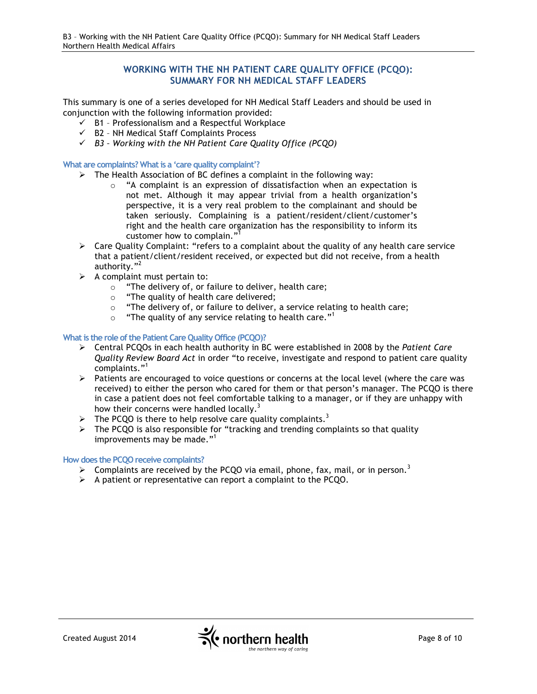# **WORKING WITH THE NH PATIENT CARE QUALITY OFFICE (PCQO): SUMMARY FOR NH MEDICAL STAFF LEADERS**

This summary is one of a series developed for NH Medical Staff Leaders and should be used in conjunction with the following information provided:

- $\checkmark$  B1 Professionalism and a Respectful Workplace
- $\checkmark$  B2 NH Medical Staff Complaints Process
- ü *B3 – Working with the NH Patient Care Quality Office (PCQO)*

**What are complaints? What is a 'care quality complaint'?**

- $\triangleright$  The Health Association of BC defines a complaint in the following way:
	- $\circ$  "A complaint is an expression of dissatisfaction when an expectation is not met. Although it may appear trivial from a health organization's perspective, it is a very real problem to the complainant and should be taken seriously. Complaining is a patient/resident/client/customer's right and the health care organization has the responsibility to inform its customer how to complain."<sup>1</sup>
- $\triangleright$  Care Quality Complaint: "refers to a complaint about the quality of any health care service that a patient/client/resident received, or expected but did not receive, from a health authority."<sup>2</sup>
- $\triangleright$  A complaint must pertain to:
	- $\circ$  "The delivery of, or failure to deliver, health care;
	- o "The quality of health care delivered;
	- o "The delivery of, or failure to deliver, a service relating to health care;
	- $\circ$  "The quality of any service relating to health care."<sup>1</sup>

#### **What is the role of the Patient Care Quality Office (PCQO)?**

- Ø Central PCQOs in each health authority in BC were established in 2008 by the *Patient Care Quality Review Board Act* in order "to receive, investigate and respond to patient care quality complaints."<sup>1</sup>
- $\triangleright$  Patients are encouraged to voice questions or concerns at the local level (where the care was received) to either the person who cared for them or that person's manager. The PCQO is there in case a patient does not feel comfortable talking to a manager, or if they are unhappy with how their concerns were handled locally.<sup>3</sup>
- $\triangleright$  The PCQO is there to help resolve care quality complaints.<sup>3</sup>
- $\triangleright$  The PCQO is also responsible for "tracking and trending complaints so that quality improvements may be made."<sup>1</sup>

# **How does the PCQO receive complaints?**

- $\triangleright$  Complaints are received by the PCQO via email, phone, fax, mail, or in person.<sup>3</sup>
- $\triangleright$  A patient or representative can report a complaint to the PCQO.

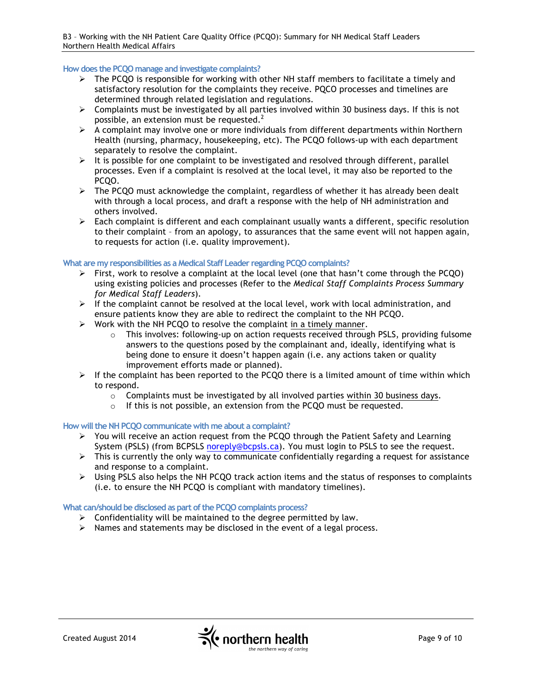#### **How does the PCQO manage and investigate complaints?**

- $\triangleright$  The PCQO is responsible for working with other NH staff members to facilitate a timely and satisfactory resolution for the complaints they receive. PQCO processes and timelines are determined through related legislation and regulations.
- $\triangleright$  Complaints must be investigated by all parties involved within 30 business days. If this is not possible, an extension must be requested. $2^2$
- $\triangleright$  A complaint may involve one or more individuals from different departments within Northern Health (nursing, pharmacy, housekeeping, etc). The PCQO follows-up with each department separately to resolve the complaint.
- $\triangleright$  It is possible for one complaint to be investigated and resolved through different, parallel processes. Even if a complaint is resolved at the local level, it may also be reported to the PCQO.
- Ø The PCQO must acknowledge the complaint, regardless of whether it has already been dealt with through a local process, and draft a response with the help of NH administration and others involved.
- $\triangleright$  Each complaint is different and each complainant usually wants a different, specific resolution to their complaint – from an apology, to assurances that the same event will not happen again, to requests for action (i.e. quality improvement).

#### **What are my responsibilities as a Medical Staff Leader regarding PCQO complaints?**

- $\triangleright$  First, work to resolve a complaint at the local level (one that hasn't come through the PCQO) using existing policies and processes (Refer to the *Medical Staff Complaints Process Summary for Medical Staff Leaders*).
- $\triangleright$  If the complaint cannot be resolved at the local level, work with local administration, and ensure patients know they are able to redirect the complaint to the NH PCQO.
- $\triangleright$  Work with the NH PCQO to resolve the complaint in a timely manner.
	- $\circ$  This involves: following-up on action requests received through PSLS, providing fulsome answers to the questions posed by the complainant and, ideally, identifying what is being done to ensure it doesn't happen again (i.e. any actions taken or quality improvement efforts made or planned).
- $\triangleright$  If the complaint has been reported to the PCQO there is a limited amount of time within which to respond.
	- $\circ$  Complaints must be investigated by all involved parties within 30 business days.
	- o If this is not possible, an extension from the PCQO must be requested.

#### **How will the NH PCQO communicate with me about a complaint?**

- $\triangleright$  You will receive an action request from the PCQO through the Patient Safety and Learning System (PSLS) (from BCPSLS noreply@bcpsls.ca). You must login to PSLS to see the request.
- $\triangleright$  This is currently the only way to communicate confidentially regarding a request for assistance and response to a complaint.
- Ø Using PSLS also helps the NH PCQO track action items and the status of responses to complaints (i.e. to ensure the NH PCQO is compliant with mandatory timelines).

#### **What can/should be disclosed as part of the PCQO complaints process?**

- $\triangleright$  Confidentiality will be maintained to the degree permitted by law.
- $\triangleright$  Names and statements may be disclosed in the event of a legal process.